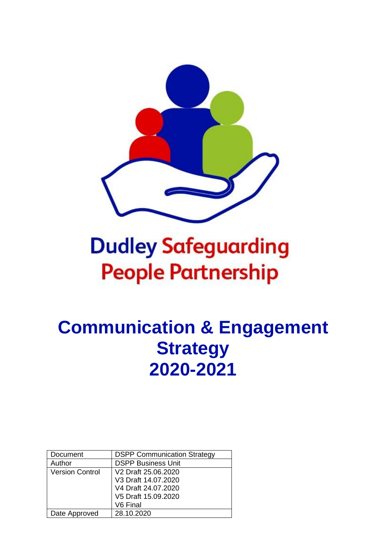

# **Dudley Safeguarding People Partnership**

# **Communication & Engagement Strategy 2020-2021**

| Document               | <b>DSPP Communication Strategy</b> |
|------------------------|------------------------------------|
| Author                 | <b>DSPP Business Unit</b>          |
| <b>Version Control</b> | V2 Draft 25.06.2020                |
|                        | V3 Draft 14.07.2020                |
|                        | V4 Draft 24.07.2020                |
|                        | V5 Draft 15.09.2020                |
|                        | V6 Final                           |
| Date Approved          | 28.10.2020                         |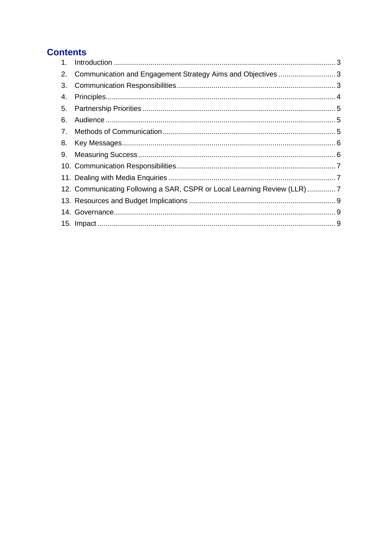# **Contents**

| 1. |                                                                          |  |
|----|--------------------------------------------------------------------------|--|
| 2. | Communication and Engagement Strategy Aims and Objectives  3             |  |
| 3. |                                                                          |  |
| 4. |                                                                          |  |
| 5. |                                                                          |  |
| 6. |                                                                          |  |
| 7. |                                                                          |  |
| 8. |                                                                          |  |
|    |                                                                          |  |
|    |                                                                          |  |
|    |                                                                          |  |
|    | 12. Communicating Following a SAR, CSPR or Local Learning Review (LLR) 7 |  |
|    |                                                                          |  |
|    |                                                                          |  |
|    |                                                                          |  |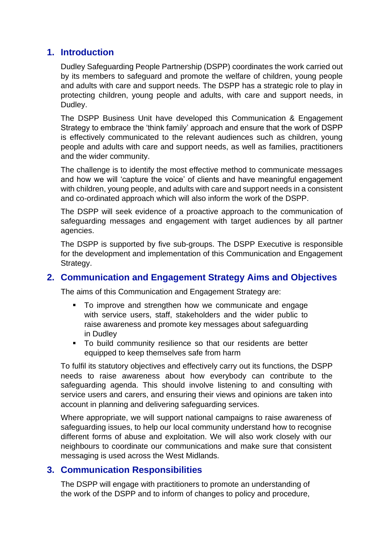## <span id="page-2-0"></span>**1. Introduction**

Dudley Safeguarding People Partnership (DSPP) coordinates the work carried out by its members to safeguard and promote the welfare of children, young people and adults with care and support needs. The DSPP has a strategic role to play in protecting children, young people and adults, with care and support needs, in Dudley.

The DSPP Business Unit have developed this Communication & Engagement Strategy to embrace the 'think family' approach and ensure that the work of DSPP is effectively communicated to the relevant audiences such as children, young people and adults with care and support needs, as well as families, practitioners and the wider community.

The challenge is to identify the most effective method to communicate messages and how we will 'capture the voice' of clients and have meaningful engagement with children, young people, and adults with care and support needs in a consistent and co-ordinated approach which will also inform the work of the DSPP.

The DSPP will seek evidence of a proactive approach to the communication of safeguarding messages and engagement with target audiences by all partner agencies.

The DSPP is supported by five sub-groups. The DSPP Executive is responsible for the development and implementation of this Communication and Engagement Strategy.

#### <span id="page-2-1"></span>**2. Communication and Engagement Strategy Aims and Objectives**

The aims of this Communication and Engagement Strategy are:

- To improve and strengthen how we communicate and engage with service users, staff, stakeholders and the wider public to raise awareness and promote key messages about safeguarding in Dudley
- To build community resilience so that our residents are better equipped to keep themselves safe from harm

To fulfil its statutory objectives and effectively carry out its functions, the DSPP needs to raise awareness about how everybody can contribute to the safeguarding agenda. This should involve listening to and consulting with service users and carers, and ensuring their views and opinions are taken into account in planning and delivering safeguarding services.

Where appropriate, we will support national campaigns to raise awareness of safeguarding issues, to help our local community understand how to recognise different forms of abuse and exploitation. We will also work closely with our neighbours to coordinate our communications and make sure that consistent messaging is used across the West Midlands.

#### <span id="page-2-2"></span>**3. Communication Responsibilities**

The DSPP will engage with practitioners to promote an understanding of the work of the DSPP and to inform of changes to policy and procedure,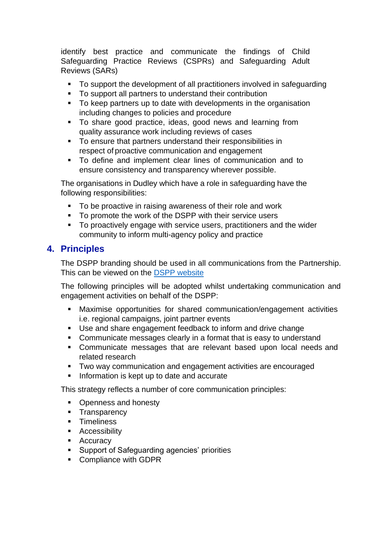identify best practice and communicate the findings of Child Safeguarding Practice Reviews (CSPRs) and Safeguarding Adult Reviews (SARs)

- To support the development of all practitioners involved in safeguarding
- To support all partners to understand their contribution
- To keep partners up to date with developments in the organisation including changes to policies and procedure
- To share good practice, ideas, good news and learning from quality assurance work including reviews of cases
- To ensure that partners understand their responsibilities in respect of proactive communication and engagement
- To define and implement clear lines of communication and to ensure consistency and transparency wherever possible.

The organisations in Dudley which have a role in safeguarding have the following responsibilities:

- To be proactive in raising awareness of their role and work
- To promote the work of the DSPP with their service users
- To proactively engage with service users, practitioners and the wider community to inform multi-agency policy and practice

# <span id="page-3-0"></span>**4. Principles**

The DSPP branding should be used in all communications from the Partnership. This can be viewed on the [DSPP website](https://safeguarding.dudley.gov.uk/safeguarding/partnership/business-documentation/)

The following principles will be adopted whilst undertaking communication and engagement activities on behalf of the DSPP:

- Maximise opportunities for shared communication/engagement activities i.e. regional campaigns, joint partner events
- Use and share engagement feedback to inform and drive change
- Communicate messages clearly in a format that is easy to understand
- Communicate messages that are relevant based upon local needs and related research
- Two way communication and engagement activities are encouraged
- Information is kept up to date and accurate

This strategy reflects a number of core communication principles:

- Openness and honesty
- **•** Transparency
- Timeliness
- Accessibility
- Accuracy
- Support of Safeguarding agencies' priorities
- Compliance with GDPR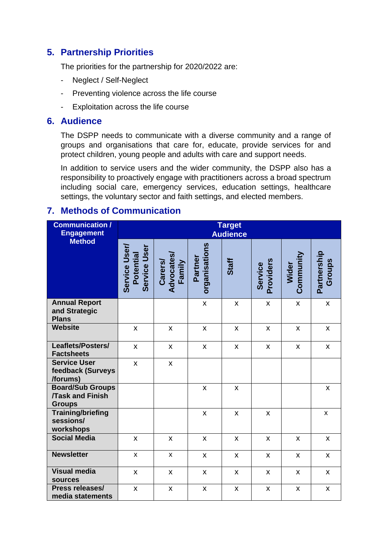# <span id="page-4-0"></span>**5. Partnership Priorities**

The priorities for the partnership for 2020/2022 are:

- Neglect / Self-Neglect
- Preventing violence across the life course
- Exploitation across the life course

#### <span id="page-4-1"></span>**6. Audience**

The DSPP needs to communicate with a diverse community and a range of groups and organisations that care for, educate, provide services for and protect children, young people and adults with care and support needs.

In addition to service users and the wider community, the DSPP also has a responsibility to proactively engage with practitioners across a broad spectrum including social care, emergency services, education settings, healthcare settings, the voluntary sector and faith settings, and elected members.

# <span id="page-4-2"></span>**7. Methods of Communication**

| <b>Communication /</b><br><b>Engagement</b>                        | <b>Target</b><br><b>Audience</b>           |                                 |                          |       |                      |                           |                       |  |
|--------------------------------------------------------------------|--------------------------------------------|---------------------------------|--------------------------|-------|----------------------|---------------------------|-----------------------|--|
| <b>Method</b>                                                      | Service User/<br>Service User<br>Potential | Carers/<br>Advocates/<br>Family | organisations<br>Partner | Staff | Providers<br>Service | Community<br>Wider        | Partnership<br>Groups |  |
| <b>Annual Report</b><br>and Strategic<br><b>Plans</b>              |                                            |                                 | X                        | X     | $\pmb{\times}$       | $\boldsymbol{\mathsf{x}}$ | $\pmb{\times}$        |  |
| <b>Website</b>                                                     | $\mathsf{x}$                               | $\mathsf{x}$                    | X                        | X     | X                    | X                         | $\mathsf{x}$          |  |
| Leaflets/Posters/<br><b>Factsheets</b>                             | $\mathsf{x}$                               | $\mathsf{x}$                    | $\mathsf{x}$             | X     | $\pmb{\times}$       | $\mathsf{x}$              | $\mathsf{x}$          |  |
| <b>Service User</b><br>feedback (Surveys<br>/forums)               | $\mathsf{X}$                               | X                               |                          |       |                      |                           |                       |  |
| <b>Board/Sub Groups</b><br><b>Task and Finish</b><br><b>Groups</b> |                                            |                                 | X                        | X     |                      |                           | $\pmb{\mathsf{X}}$    |  |
| <b>Training/briefing</b><br>sessions/<br>workshops                 |                                            |                                 | $\pmb{\times}$           | X     | $\pmb{\times}$       |                           | $\pmb{\times}$        |  |
| <b>Social Media</b>                                                | $\mathsf{x}$                               | $\mathsf{x}$                    | X                        | X     | X                    | X                         | $\mathsf{x}$          |  |
| <b>Newsletter</b>                                                  | X                                          | X                               | $\pmb{\mathsf{X}}$       | X     | $\pmb{\mathsf{X}}$   | $\pmb{\times}$            | $\pmb{\mathsf{X}}$    |  |
| <b>Visual media</b><br><b>sources</b>                              | $\pmb{\mathsf{X}}$                         | $\mathsf{x}$                    | $\pmb{\mathsf{X}}$       | X     | $\pmb{\mathsf{X}}$   | $\mathsf{x}$              | $\mathsf{x}$          |  |
| Press releases/<br>media statements                                | X                                          | X                               | $\pmb{\mathsf{X}}$       | X     | $\pmb{\mathsf{X}}$   | $\pmb{\mathsf{X}}$        | $\pmb{\mathsf{X}}$    |  |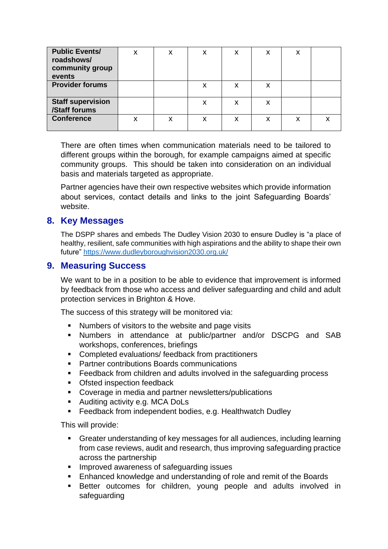| <b>Public Events/</b><br>roadshows/<br>community group<br>events | x | x | X | X | x | x |  |
|------------------------------------------------------------------|---|---|---|---|---|---|--|
| <b>Provider forums</b>                                           |   |   | X | x | x |   |  |
| <b>Staff supervision</b><br>/Staff forums                        |   |   |   | x | x |   |  |
| <b>Conference</b>                                                | х | х | X | X | x | x |  |

There are often times when communication materials need to be tailored to different groups within the borough, for example campaigns aimed at specific community groups. This should be taken into consideration on an individual basis and materials targeted as appropriate.

Partner agencies have their own respective websites which provide information about services, contact details and links to the joint Safeguarding Boards' website.

#### <span id="page-5-0"></span>**8. Key Messages**

The DSPP shares and embeds The Dudley Vision 2030 to ensure Dudley is "a place of healthy, resilient, safe communities with high aspirations and the ability to shape their own future" <https://www.dudleyboroughvision2030.org.uk/>

#### <span id="page-5-1"></span>**9. Measuring Success**

We want to be in a position to be able to evidence that improvement is informed by feedback from those who access and deliver safeguarding and child and adult protection services in Brighton & Hove.

The success of this strategy will be monitored via:

- Numbers of visitors to the website and page visits
- Numbers in attendance at public/partner and/or DSCPG and SAB workshops, conferences, briefings
- Completed evaluations/ feedback from practitioners
- Partner contributions Boards communications
- Feedback from children and adults involved in the safeguarding process
- Ofsted inspection feedback
- Coverage in media and partner newsletters/publications
- Auditing activity e.g. MCA DoLs
- Feedback from independent bodies, e.g. Healthwatch Dudley

This will provide:

- Greater understanding of key messages for all audiences, including learning from case reviews, audit and research, thus improving safeguarding practice across the partnership
- Improved awareness of safeguarding issues
- Enhanced knowledge and understanding of role and remit of the Boards
- Better outcomes for children, young people and adults involved in safeguarding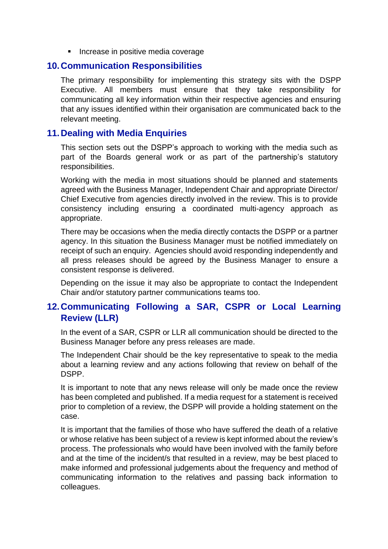■ Increase in positive media coverage

#### <span id="page-6-0"></span>**10.Communication Responsibilities**

The primary responsibility for implementing this strategy sits with the DSPP Executive. All members must ensure that they take responsibility for communicating all key information within their respective agencies and ensuring that any issues identified within their organisation are communicated back to the relevant meeting.

#### <span id="page-6-1"></span>**11.Dealing with Media Enquiries**

This section sets out the DSPP's approach to working with the media such as part of the Boards general work or as part of the partnership's statutory responsibilities.

Working with the media in most situations should be planned and statements agreed with the Business Manager, Independent Chair and appropriate Director/ Chief Executive from agencies directly involved in the review. This is to provide consistency including ensuring a coordinated multi-agency approach as appropriate.

There may be occasions when the media directly contacts the DSPP or a partner agency. In this situation the Business Manager must be notified immediately on receipt of such an enquiry. Agencies should avoid responding independently and all press releases should be agreed by the Business Manager to ensure a consistent response is delivered.

Depending on the issue it may also be appropriate to contact the Independent Chair and/or statutory partner communications teams too.

## <span id="page-6-2"></span>**12.Communicating Following a SAR, CSPR or Local Learning Review (LLR)**

In the event of a SAR, CSPR or LLR all communication should be directed to the Business Manager before any press releases are made.

The Independent Chair should be the key representative to speak to the media about a learning review and any actions following that review on behalf of the DSPP.

It is important to note that any news release will only be made once the review has been completed and published. If a media request for a statement is received prior to completion of a review, the DSPP will provide a holding statement on the case.

It is important that the families of those who have suffered the death of a relative or whose relative has been subject of a review is kept informed about the review's process. The professionals who would have been involved with the family before and at the time of the incident/s that resulted in a review, may be best placed to make informed and professional judgements about the frequency and method of communicating information to the relatives and passing back information to colleagues.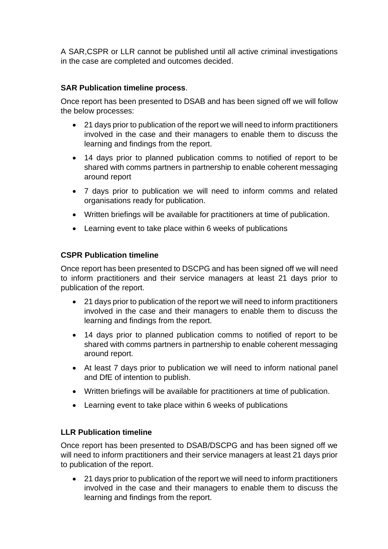A SAR,CSPR or LLR cannot be published until all active criminal investigations in the case are completed and outcomes decided.

#### **SAR Publication timeline process**.

Once report has been presented to DSAB and has been signed off we will follow the below processes:

- 21 days prior to publication of the report we will need to inform practitioners involved in the case and their managers to enable them to discuss the learning and findings from the report.
- 14 days prior to planned publication comms to notified of report to be shared with comms partners in partnership to enable coherent messaging around report
- 7 days prior to publication we will need to inform comms and related organisations ready for publication.
- Written briefings will be available for practitioners at time of publication.
- Learning event to take place within 6 weeks of publications

#### **CSPR Publication timeline**

Once report has been presented to DSCPG and has been signed off we will need to inform practitioners and their service managers at least 21 days prior to publication of the report.

- 21 days prior to publication of the report we will need to inform practitioners involved in the case and their managers to enable them to discuss the learning and findings from the report.
- 14 days prior to planned publication comms to notified of report to be shared with comms partners in partnership to enable coherent messaging around report.
- At least 7 days prior to publication we will need to inform national panel and DfE of intention to publish.
- Written briefings will be available for practitioners at time of publication.
- Learning event to take place within 6 weeks of publications

#### **LLR Publication timeline**

Once report has been presented to DSAB/DSCPG and has been signed off we will need to inform practitioners and their service managers at least 21 days prior to publication of the report.

• 21 days prior to publication of the report we will need to inform practitioners involved in the case and their managers to enable them to discuss the learning and findings from the report.